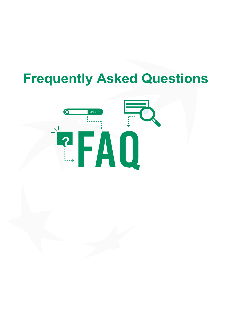# **Frequently Asked Questions**

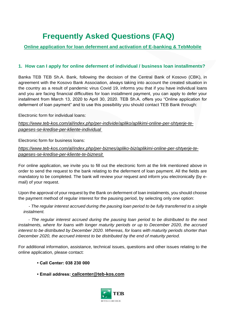## **Frequently Asked Questions (FAQ)**

### **Online application for loan deferment and activation of E-banking & TebMobile**

#### **1. How can I apply for online deferment of individual / business loan installments?**

Banka TEB TEB Sh.A. Bank, following the decision of the Central Bank of Kosovo (CBK), in agreement with the Kosovo Bank Association, always taking into account the created situation in the country as a result of pandemic virus Covid 19, informs you that if you have individual loans and you are facing financial difficulties for loan installment payment, you can apply to defer your installment from March 13, 2020 to April 30, 2020. TEB Sh.A. offers you "Online application for deferment of loan payment" and to use this possibility you should contact TEB Bank through:

Electronic form for individual loans:

#### *[https://www.teb-kos.com/al/index.php/per-individe/apliko/aplikimi-online-per-shtyerje-te](https://www.teb-kos.com/al/index.php/per-individe/apliko/aplikimi-online-per-shtyerje-te-pageses-se-kredise-per-kliente-individual)[pageses-se-kredise-per-kliente-individual](https://www.teb-kos.com/al/index.php/per-individe/apliko/aplikimi-online-per-shtyerje-te-pageses-se-kredise-per-kliente-individual)*

Electronic form for business loans:

#### *[https://www.teb-kos.com/al/index.php/per-biznes/apliko-biz/aplikimi-online-per-shtyerje-te](https://www.teb-kos.com/al/index.php/per-biznes/apliko-biz/aplikimi-online-per-shtyerje-te-pageses-se-kredise-per-kliente-te-biznesit)[pageses-se-kredise-per-kliente-te-biznesit](https://www.teb-kos.com/al/index.php/per-biznes/apliko-biz/aplikimi-online-per-shtyerje-te-pageses-se-kredise-per-kliente-te-biznesit)*

For online application, we invite you to fill out the electronic form at the link mentioned above in order to send the request to the bank relating to the deferment of loan payment. All the fields are mandatory to be completed. The bank will review your request and inform you electronically (by email) of your request.

Upon the approval of your request by the Bank on deferment of loan instalments, you should choose the payment method of regular interest for the pausing period, by selecting only one option:

*- The regular interest accrued during the pausing loan period to be fully transferred to a single instalment.* 

 *- The regular interest accrued during the pausing loan period to be distributed to the next instalments, where for loans with longer maturity periods or up to December 2020, the accrued interest to be distributed by December 2020. Whereas, for loans with maturity periods shorter than December 2020, the accrued interest to be distributed by the end of maturity period.*

For additional information, assistance, technical issues, questions and other issues relating to the online application, please contact:

- **Call Center: 038 230 000**
- **Email address: [callcenter@teb-kos.com](mailto:callcenter@teb-kos.com)**

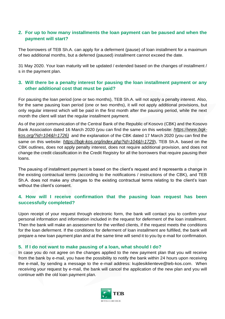#### **2. For up to how many installments the loan payment can be paused and when the payment will start?**

The borrowers of TEB Sh.A. can apply for a deferment (pause) of loan installment for a maximum of two additional months, but a deferred (paused) installment cannot exceed the date.

31 May 2020. Your loan maturity will be updated / extended based on the changes of installment / s in the payment plan.

#### **3. Will there be a penalty interest for pausing the loan installment payment or any other additional cost that must be paid?**

For pausing the loan period (one or two months), TEB Sh.A. will not apply a penalty interest. Also, for the same pausing loan period (one or two months), it will not apply additional provisions, but only regular interest which will be paid in the first month after the pausing period, while the next month the client will start the regular installment payment.

As of the joint communication of the Central Bank of the Republic of Kosovo (CBK) and the Kosovo Bank Association dated 16 March 2020 (you can find the same on this website: *[https://www.bqk](https://www.bqk-kos.org/?id=104&l=1726)[kos.org/?id=104&l=1726\)](https://www.bqk-kos.org/?id=104&l=1726)* and the explanation of the CBK dated 17 March 2020 (you can find the same on this website: *<https://bqk-kos.org/index.php?id=104&l=1729>*), TEB Sh.A. based on the CBK outlines, does not apply penalty interest, does not require additional provision, and does not change the credit classification in the Credit Registry for all the borrowers that require pausing their loans.

The pausing of installment payment is based on the client's request and it represents a change in the existing contractual terms (according to the notifications / instructions of the CBK), and TEB Sh.A. does not make any changes to the existing contractual terms relating to the client's loan without the client's consent.

#### **4. How will I receive confirmation that the pausing loan request has been successfully completed?**

Upon receipt of your request through electronic form, the bank will contact you to confirm your personal information and information included in the request for deferment of the loan installment. Then the bank will make an assessment for the verified clients, if the request meets the conditions for the loan deferment. If the conditions for deferment of loan installment are fulfilled, the bank will prepare a new loan payment plan and at the same time will send it to you by e-mail for confirmation.

#### **5. If I do not want to make pausing of a loan, what should I do?**

In case you do not agree on the changes applied to the new payment plan that you will receive from the bank by e-mail, you have the possibility to notify the bank within 24 hours upon receiving the e-mail, by sending a message to the e-mail address: kujdesiklienteve@teb-kos.com. When receiving your request by e-mail, the bank will cancel the application of the new plan and you will continue with the old loan payment plan.